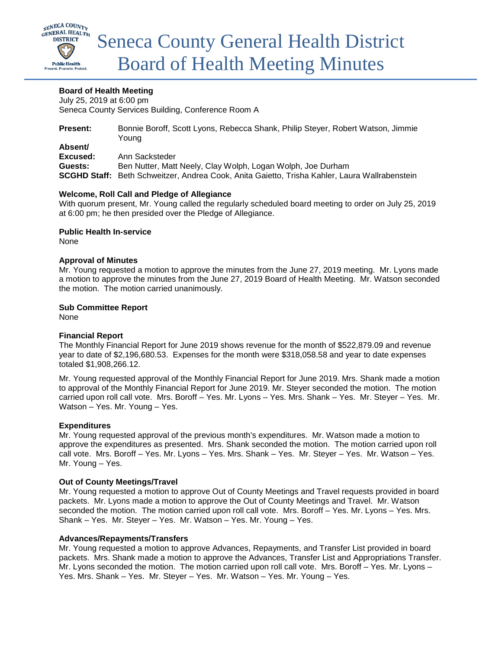

# **Board of Health Meeting**

July 25, 2019 at 6:00 pm Seneca County Services Building, Conference Room A

| <b>Present:</b> | Bonnie Boroff, Scott Lyons, Rebecca Shank, Philip Steyer, Robert Watson, Jimmie                      |
|-----------------|------------------------------------------------------------------------------------------------------|
|                 | Youna                                                                                                |
| Absent/         |                                                                                                      |
| Excused:        | Ann Sacksteder                                                                                       |
| Guests:         | Ben Nutter, Matt Neely, Clay Wolph, Logan Wolph, Joe Durham                                          |
|                 | <b>SCGHD Staff:</b> Beth Schweitzer, Andrea Cook, Anita Gaietto, Trisha Kahler, Laura Wallrabenstein |

# **Welcome, Roll Call and Pledge of Allegiance**

With quorum present, Mr. Young called the regularly scheduled board meeting to order on July 25, 2019 at 6:00 pm; he then presided over the Pledge of Allegiance.

**Public Health In-service**

None

#### **Approval of Minutes**

Mr. Young requested a motion to approve the minutes from the June 27, 2019 meeting. Mr. Lyons made a motion to approve the minutes from the June 27, 2019 Board of Health Meeting. Mr. Watson seconded the motion. The motion carried unanimously.

#### **Sub Committee Report**

None

# **Financial Report**

The Monthly Financial Report for June 2019 shows revenue for the month of \$522,879.09 and revenue year to date of \$2,196,680.53. Expenses for the month were \$318,058.58 and year to date expenses totaled \$1,908,266.12.

Mr. Young requested approval of the Monthly Financial Report for June 2019. Mrs. Shank made a motion to approval of the Monthly Financial Report for June 2019. Mr. Steyer seconded the motion. The motion carried upon roll call vote. Mrs. Boroff – Yes. Mr. Lyons – Yes. Mrs. Shank – Yes. Mr. Steyer – Yes. Mr. Watson – Yes. Mr. Young – Yes.

# **Expenditures**

Mr. Young requested approval of the previous month's expenditures. Mr. Watson made a motion to approve the expenditures as presented. Mrs. Shank seconded the motion. The motion carried upon roll call vote. Mrs. Boroff – Yes. Mr. Lyons – Yes. Mrs. Shank – Yes. Mr. Steyer – Yes. Mr. Watson – Yes. Mr. Young – Yes.

# **Out of County Meetings/Travel**

Mr. Young requested a motion to approve Out of County Meetings and Travel requests provided in board packets. Mr. Lyons made a motion to approve the Out of County Meetings and Travel. Mr. Watson seconded the motion. The motion carried upon roll call vote. Mrs. Boroff - Yes. Mr. Lyons - Yes. Mrs. Shank – Yes. Mr. Steyer – Yes. Mr. Watson – Yes. Mr. Young – Yes.

# **Advances/Repayments/Transfers**

Mr. Young requested a motion to approve Advances, Repayments, and Transfer List provided in board packets. Mrs. Shank made a motion to approve the Advances, Transfer List and Appropriations Transfer. Mr. Lyons seconded the motion. The motion carried upon roll call vote. Mrs. Boroff – Yes. Mr. Lyons – Yes. Mrs. Shank – Yes. Mr. Steyer – Yes. Mr. Watson – Yes. Mr. Young – Yes.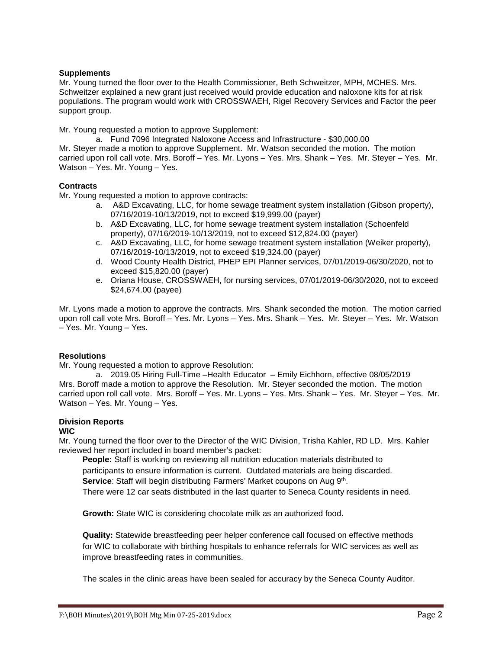# **Supplements**

Mr. Young turned the floor over to the Health Commissioner, Beth Schweitzer, MPH, MCHES. Mrs. Schweitzer explained a new grant just received would provide education and naloxone kits for at risk populations. The program would work with CROSSWAEH, Rigel Recovery Services and Factor the peer support group.

Mr. Young requested a motion to approve Supplement:

a. Fund 7096 Integrated Naloxone Access and Infrastructure - \$30,000.00 Mr. Steyer made a motion to approve Supplement. Mr. Watson seconded the motion. The motion carried upon roll call vote. Mrs. Boroff – Yes. Mr. Lyons – Yes. Mrs. Shank – Yes. Mr. Steyer – Yes. Mr. Watson – Yes. Mr. Young – Yes.

# **Contracts**

Mr. Young requested a motion to approve contracts:

- a. A&D Excavating, LLC, for home sewage treatment system installation (Gibson property), 07/16/2019-10/13/2019, not to exceed \$19,999.00 (payer)
- b. A&D Excavating, LLC, for home sewage treatment system installation (Schoenfeld property), 07/16/2019-10/13/2019, not to exceed \$12,824.00 (payer)
- c. A&D Excavating, LLC, for home sewage treatment system installation (Weiker property), 07/16/2019-10/13/2019, not to exceed \$19,324.00 (payer)
- d. Wood County Health District, PHEP EPI Planner services, 07/01/2019-06/30/2020, not to exceed \$15,820.00 (payer)
- e. Oriana House, CROSSWAEH, for nursing services, 07/01/2019-06/30/2020, not to exceed \$24,674.00 (payee)

Mr. Lyons made a motion to approve the contracts. Mrs. Shank seconded the motion. The motion carried upon roll call vote Mrs. Boroff – Yes. Mr. Lyons – Yes. Mrs. Shank – Yes. Mr. Steyer – Yes. Mr. Watson – Yes. Mr. Young – Yes.

# **Resolutions**

Mr. Young requested a motion to approve Resolution:

a. 2019.05 Hiring Full-Time –Health Educator – Emily Eichhorn, effective 08/05/2019 Mrs. Boroff made a motion to approve the Resolution. Mr. Steyer seconded the motion. The motion carried upon roll call vote. Mrs. Boroff – Yes. Mr. Lyons – Yes. Mrs. Shank – Yes. Mr. Steyer – Yes. Mr. Watson – Yes. Mr. Young – Yes.

# **Division Reports**

# **WIC**

Mr. Young turned the floor over to the Director of the WIC Division, Trisha Kahler, RD LD. Mrs. Kahler reviewed her report included in board member's packet:

**People:** Staff is working on reviewing all nutrition education materials distributed to participants to ensure information is current. Outdated materials are being discarded. **Service:** Staff will begin distributing Farmers' Market coupons on Aug 9<sup>th</sup>. There were 12 car seats distributed in the last quarter to Seneca County residents in need.

**Growth:** State WIC is considering chocolate milk as an authorized food.

**Quality:** Statewide breastfeeding peer helper conference call focused on effective methods for WIC to collaborate with birthing hospitals to enhance referrals for WIC services as well as improve breastfeeding rates in communities.

The scales in the clinic areas have been sealed for accuracy by the Seneca County Auditor.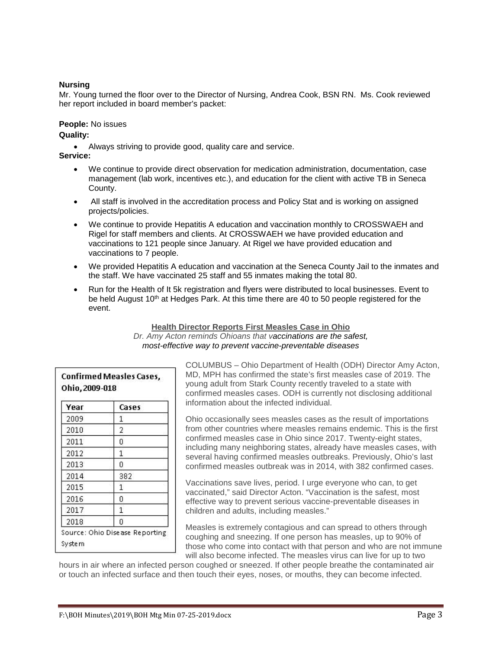# **Nursing**

Mr. Young turned the floor over to the Director of Nursing, Andrea Cook, BSN RN. Ms. Cook reviewed her report included in board member's packet:

**People:** No issues **Quality:** 

• Always striving to provide good, quality care and service. **Service:**

- - We continue to provide direct observation for medication administration, documentation, case management (lab work, incentives etc.), and education for the client with active TB in Seneca County.
	- All staff is involved in the accreditation process and Policy Stat and is working on assigned projects/policies.
	- We continue to provide Hepatitis A education and vaccination monthly to CROSSWAEH and Rigel for staff members and clients. At CROSSWAEH we have provided education and vaccinations to 121 people since January. At Rigel we have provided education and vaccinations to 7 people.
	- We provided Hepatitis A education and vaccination at the Seneca County Jail to the inmates and the staff. We have vaccinated 25 staff and 55 inmates making the total 80.
	- Run for the Health of It 5k registration and flyers were distributed to local businesses. Event to be held August 10<sup>th</sup> at Hedges Park. At this time there are 40 to 50 people registered for the event.

# **Health Director Reports First Measles Case in Ohio** *Dr. Amy Acton reminds Ohioans that vaccinations are the safest, most-effective way to prevent vaccine-preventable diseases*

| Year | Cases |
|------|-------|
| 2009 | 1     |
| 2010 | 2     |
| 2011 | 0     |
| 2012 | 1     |
| 2013 | 0     |
| 2014 | 382   |
| 2015 | 1     |
| 2016 | 0     |
| 2017 | 1     |
| 2018 | 0     |

COLUMBUS – Ohio Department of Health (ODH) Director Amy Acton, MD, MPH has confirmed the state's first measles case of 2019. The young adult from Stark County recently traveled to a state with confirmed measles cases. ODH is currently not disclosing additional information about the infected individual.

Ohio occasionally sees measles cases as the result of importations from other countries where measles remains endemic. This is the first confirmed measles case in Ohio since 2017. Twenty-eight states, including many neighboring states, already have measles cases, with several having confirmed measles outbreaks. Previously, Ohio's last confirmed measles outbreak was in 2014, with 382 confirmed cases.

Vaccinations save lives, period. I urge everyone who can, to get vaccinated," said Director Acton. "Vaccination is the safest, most effective way to prevent serious vaccine-preventable diseases in children and adults, including measles."

Measles is extremely contagious and can spread to others through coughing and sneezing. If one person has measles, up to 90% of those who come into contact with that person and who are not immune will also become infected. The measles virus can live for up to two

hours in air where an infected person coughed or sneezed. If other people breathe the contaminated air or touch an infected surface and then touch their eyes, noses, or mouths, they can become infected.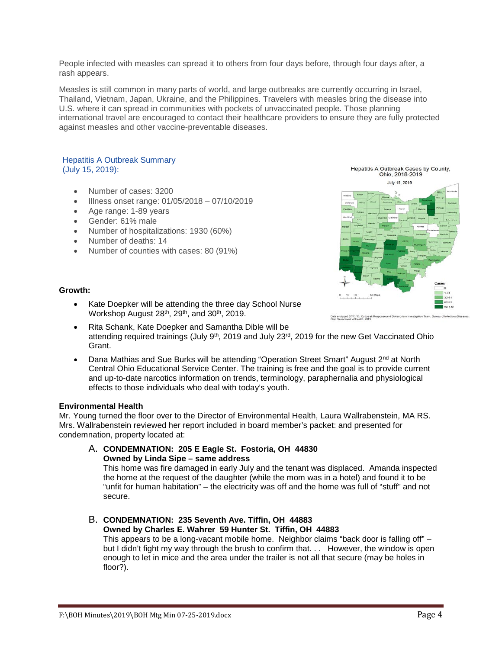People infected with measles can spread it to others from four days before, through four days after, a rash appears.

Measles is still common in many parts of world, and large outbreaks are currently occurring in Israel, Thailand, Vietnam, Japan, Ukraine, and the Philippines. Travelers with measles bring the disease into U.S. where it can spread in communities with pockets of unvaccinated people. Those planning international travel are encouraged to contact their healthcare providers to ensure they are fully protected against measles and other vaccine-preventable diseases.

#### Hepatitis A Outbreak Summary (July 15, 2019):

- Number of cases: 3200
- Illness onset range: 01/05/2018 07/10/2019
- Age range: 1-89 years
- Gender: 61% male
- Number of hospitalizations: 1930 (60%)
- Number of deaths: 14
- Number of counties with cases: 80 (91%)



# **Growth:**

- Kate Doepker will be attending the three day School Nurse Workshop August 28<sup>th</sup>, 29<sup>th</sup>, and 30<sup>th</sup>, 2019.
- Rita Schank, Kate Doepker and Samantha Dible will be attending required trainings (July 9<sup>th</sup>, 2019 and July 23<sup>rd</sup>, 2019 for the new Get Vaccinated Ohio Grant.
- Dana Mathias and Sue Burks will be attending "Operation Street Smart" August 2<sup>nd</sup> at North Central Ohio Educational Service Center. The training is free and the goal is to provide current and up-to-date narcotics information on trends, terminology, paraphernalia and physiological effects to those individuals who deal with today's youth.

# **Environmental Health**

Mr. Young turned the floor over to the Director of Environmental Health, Laura Wallrabenstein, MA RS. Mrs. Wallrabenstein reviewed her report included in board member's packet: and presented for condemnation, property located at:

A. **CONDEMNATION: 205 E Eagle St. Fostoria, OH 44830 Owned by Linda Sipe – same address**

This home was fire damaged in early July and the tenant was displaced. Amanda inspected the home at the request of the daughter (while the mom was in a hotel) and found it to be "unfit for human habitation" – the electricity was off and the home was full of "stuff" and not secure.

#### B. **CONDEMNATION: 235 Seventh Ave. Tiffin, OH 44883 Owned by Charles E. Wahrer 59 Hunter St. Tiffin, OH 44883**

This appears to be a long-vacant mobile home. Neighbor claims "back door is falling off" – but I didn't fight my way through the brush to confirm that. . . However, the window is open enough to let in mice and the area under the trailer is not all that secure (may be holes in floor?).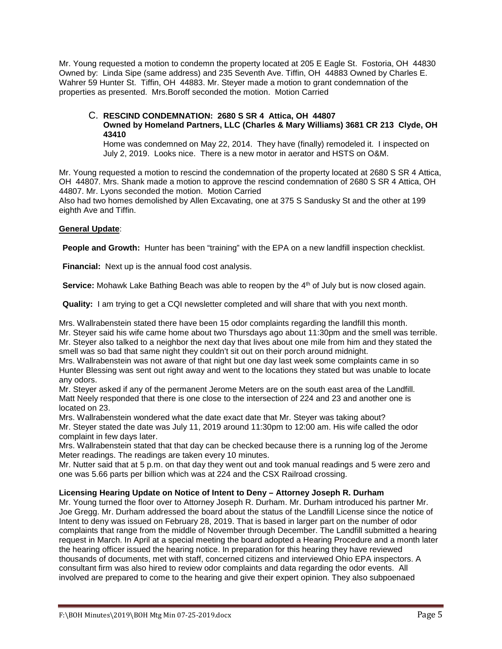Mr. Young requested a motion to condemn the property located at 205 E Eagle St. Fostoria, OH 44830 Owned by: Linda Sipe (same address) and 235 Seventh Ave. Tiffin, OH 44883 Owned by Charles E. Wahrer 59 Hunter St. Tiffin, OH 44883. Mr. Steyer made a motion to grant condemnation of the properties as presented. Mrs.Boroff seconded the motion. Motion Carried

# C. **RESCIND CONDEMNATION: 2680 S SR 4 Attica, OH 44807 Owned by Homeland Partners, LLC (Charles & Mary Williams) 3681 CR 213 Clyde, OH**

**43410**

Home was condemned on May 22, 2014. They have (finally) remodeled it. I inspected on July 2, 2019. Looks nice. There is a new motor in aerator and HSTS on O&M.

Mr. Young requested a motion to rescind the condemnation of the property located at 2680 S SR 4 Attica, OH 44807. Mrs. Shank made a motion to approve the rescind condemnation of 2680 S SR 4 Attica, OH 44807. Mr. Lyons seconded the motion. Motion Carried

Also had two homes demolished by Allen Excavating, one at 375 S Sandusky St and the other at 199 eighth Ave and Tiffin.

# **General Update**:

**People and Growth:** Hunter has been "training" with the EPA on a new landfill inspection checklist.

**Financial:** Next up is the annual food cost analysis.

**Service:** Mohawk Lake Bathing Beach was able to reopen by the 4<sup>th</sup> of July but is now closed again.

**Quality:** I am trying to get a CQI newsletter completed and will share that with you next month.

Mrs. Wallrabenstein stated there have been 15 odor complaints regarding the landfill this month. Mr. Steyer said his wife came home about two Thursdays ago about 11:30pm and the smell was terrible. Mr. Steyer also talked to a neighbor the next day that lives about one mile from him and they stated the smell was so bad that same night they couldn't sit out on their porch around midnight.

Mrs. Wallrabenstein was not aware of that night but one day last week some complaints came in so Hunter Blessing was sent out right away and went to the locations they stated but was unable to locate any odors.

Mr. Steyer asked if any of the permanent Jerome Meters are on the south east area of the Landfill. Matt Neely responded that there is one close to the intersection of 224 and 23 and another one is located on 23.

Mrs. Wallrabenstein wondered what the date exact date that Mr. Steyer was taking about? Mr. Steyer stated the date was July 11, 2019 around 11:30pm to 12:00 am. His wife called the odor complaint in few days later.

Mrs. Wallrabenstein stated that that day can be checked because there is a running log of the Jerome Meter readings. The readings are taken every 10 minutes.

Mr. Nutter said that at 5 p.m. on that day they went out and took manual readings and 5 were zero and one was 5.66 parts per billion which was at 224 and the CSX Railroad crossing.

# **Licensing Hearing Update on Notice of Intent to Deny – Attorney Joseph R. Durham**

Mr. Young turned the floor over to Attorney Joseph R. Durham. Mr. Durham introduced his partner Mr. Joe Gregg. Mr. Durham addressed the board about the status of the Landfill License since the notice of Intent to deny was issued on February 28, 2019. That is based in larger part on the number of odor complaints that range from the middle of November through December. The Landfill submitted a hearing request in March. In April at a special meeting the board adopted a Hearing Procedure and a month later the hearing officer issued the hearing notice. In preparation for this hearing they have reviewed thousands of documents, met with staff, concerned citizens and interviewed Ohio EPA inspectors. A consultant firm was also hired to review odor complaints and data regarding the odor events. All involved are prepared to come to the hearing and give their expert opinion. They also subpoenaed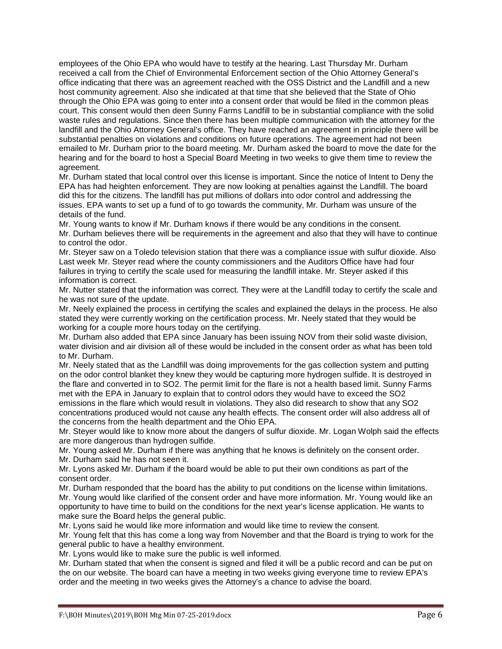employees of the Ohio EPA who would have to testify at the hearing. Last Thursday Mr. Durham received a call from the Chief of Environmental Enforcement section of the Ohio Attorney General's office indicating that there was an agreement reached with the OSS District and the Landfill and a new host community agreement. Also she indicated at that time that she believed that the State of Ohio through the Ohio EPA was going to enter into a consent order that would be filed in the common pleas court. This consent would then deen Sunny Farms Landfill to be in substantial compliance with the solid waste rules and regulations. Since then there has been multiple communication with the attorney for the landfill and the Ohio Attorney General's office. They have reached an agreement in principle there will be substantial penalties on violations and conditions on future operations. The agreement had not been emailed to Mr. Durham prior to the board meeting. Mr. Durham asked the board to move the date for the hearing and for the board to host a Special Board Meeting in two weeks to give them time to review the agreement.

Mr. Durham stated that local control over this license is important. Since the notice of Intent to Deny the EPA has had heighten enforcement. They are now looking at penalties against the Landfill. The board did this for the citizens. The landfill has put millions of dollars into odor control and addressing the issues. EPA wants to set up a fund of to go towards the community, Mr. Durham was unsure of the details of the fund.

Mr. Young wants to know if Mr. Durham knows if there would be any conditions in the consent. Mr. Durham believes there will be requirements in the agreement and also that they will have to continue to control the odor.

Mr. Steyer saw on a Toledo television station that there was a compliance issue with sulfur dioxide. Also Last week Mr. Steyer read where the county commissioners and the Auditors Office have had four failures in trying to certify the scale used for measuring the landfill intake. Mr. Steyer asked if this information is correct.

Mr. Nutter stated that the information was correct. They were at the Landfill today to certify the scale and he was not sure of the update.

Mr. Neely explained the process in certifying the scales and explained the delays in the process. He also stated they were currently working on the certification process. Mr. Neely stated that they would be working for a couple more hours today on the certifying.

Mr. Durham also added that EPA since January has been issuing NOV from their solid waste division, water division and air division all of these would be included in the consent order as what has been told to Mr. Durham.

Mr. Neely stated that as the Landfill was doing improvements for the gas collection system and putting on the odor control blanket they knew they would be capturing more hydrogen sulfide. It is destroyed in the flare and converted in to SO2. The permit limit for the flare is not a health based limit. Sunny Farms met with the EPA in January to explain that to control odors they would have to exceed the SO2 emissions in the flare which would result in violations. They also did research to show that any SO2 concentrations produced would not cause any health effects. The consent order will also address all of the concerns from the health department and the Ohio EPA.

Mr. Steyer would like to know more about the dangers of sulfur dioxide. Mr. Logan Wolph said the effects are more dangerous than hydrogen sulfide.

Mr. Young asked Mr. Durham if there was anything that he knows is definitely on the consent order. Mr. Durham said he has not seen it.

Mr. Lyons asked Mr. Durham if the board would be able to put their own conditions as part of the consent order.

Mr. Durham responded that the board has the ability to put conditions on the license within limitations. Mr. Young would like clarified of the consent order and have more information. Mr. Young would like an opportunity to have time to build on the conditions for the next year's license application. He wants to make sure the Board helps the general public.

Mr. Lyons said he would like more information and would like time to review the consent.

Mr. Young felt that this has come a long way from November and that the Board is trying to work for the general public to have a healthy environment.

Mr. Lyons would like to make sure the public is well informed.

Mr. Durham stated that when the consent is signed and filed it will be a public record and can be put on the on our website. The board can have a meeting in two weeks giving everyone time to review EPA's order and the meeting in two weeks gives the Attorney's a chance to advise the board.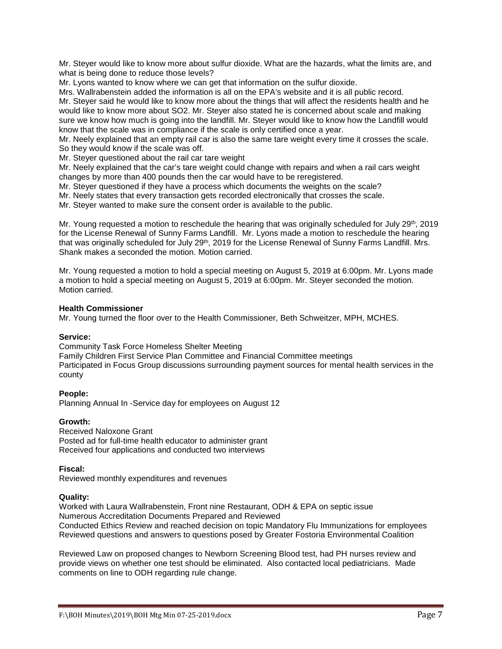Mr. Steyer would like to know more about sulfur dioxide. What are the hazards, what the limits are, and what is being done to reduce those levels?

Mr. Lyons wanted to know where we can get that information on the sulfur dioxide.

Mrs. Wallrabenstein added the information is all on the EPA's website and it is all public record. Mr. Steyer said he would like to know more about the things that will affect the residents health and he would like to know more about SO2. Mr. Steyer also stated he is concerned about scale and making sure we know how much is going into the landfill. Mr. Steyer would like to know how the Landfill would know that the scale was in compliance if the scale is only certified once a year.

Mr. Neely explained that an empty rail car is also the same tare weight every time it crosses the scale. So they would know if the scale was off.

Mr. Steyer questioned about the rail car tare weight

Mr. Neely explained that the car's tare weight could change with repairs and when a rail cars weight changes by more than 400 pounds then the car would have to be reregistered.

Mr. Steyer questioned if they have a process which documents the weights on the scale?

Mr. Neely states that every transaction gets recorded electronically that crosses the scale.

Mr. Steyer wanted to make sure the consent order is available to the public.

Mr. Young requested a motion to reschedule the hearing that was originally scheduled for July 29<sup>th</sup>, 2019 for the License Renewal of Sunny Farms Landfill. Mr. Lyons made a motion to reschedule the hearing that was originally scheduled for July 29<sup>th</sup>, 2019 for the License Renewal of Sunny Farms Landfill. Mrs. Shank makes a seconded the motion. Motion carried.

Mr. Young requested a motion to hold a special meeting on August 5, 2019 at 6:00pm. Mr. Lyons made a motion to hold a special meeting on August 5, 2019 at 6:00pm. Mr. Steyer seconded the motion. Motion carried.

# **Health Commissioner**

Mr. Young turned the floor over to the Health Commissioner, Beth Schweitzer, MPH, MCHES.

# **Service:**

Community Task Force Homeless Shelter Meeting

Family Children First Service Plan Committee and Financial Committee meetings Participated in Focus Group discussions surrounding payment sources for mental health services in the county

# **People:**

Planning Annual In -Service day for employees on August 12

# **Growth:**

Received Naloxone Grant Posted ad for full-time health educator to administer grant Received four applications and conducted two interviews

**Fiscal:**

Reviewed monthly expenditures and revenues

# **Quality:**

Worked with Laura Wallrabenstein, Front nine Restaurant, ODH & EPA on septic issue Numerous Accreditation Documents Prepared and Reviewed Conducted Ethics Review and reached decision on topic Mandatory Flu Immunizations for employees Reviewed questions and answers to questions posed by Greater Fostoria Environmental Coalition

Reviewed Law on proposed changes to Newborn Screening Blood test, had PH nurses review and provide views on whether one test should be eliminated. Also contacted local pediatricians. Made comments on line to ODH regarding rule change.